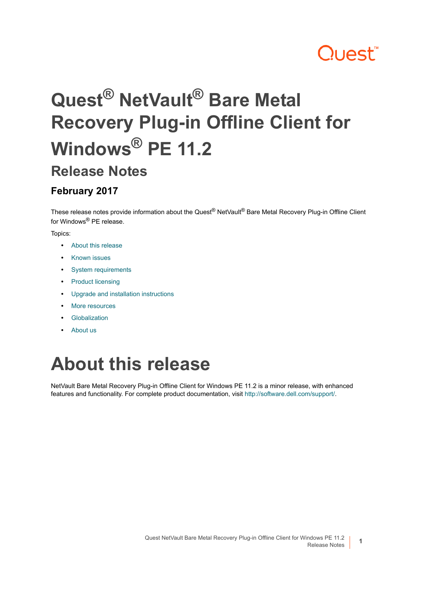# ?uest™

# **Quest® NetVault® Bare Metal Recovery Plug-in Offline Client for Windows® PE 11.2**

#### **Release Notes**

#### **February 2017**

These release notes provide information about the Quest® NetVault® Bare Metal Recovery Plug-in Offline Client for Windows® PE release.

Topics:

- **•** [About this release](#page-0-0)
- **•** [Known issues](#page-1-1)
- **•** [System requirements](#page-1-0)
- **•** [Product licensing](#page-2-0)
- **•** [Upgrade and installation instructions](#page-3-0)
- **•** [More resources](#page-3-1)
- **•** [Globalization](#page-3-2)
- **•** [About us](#page-3-3)

# <span id="page-0-0"></span>**About this release**

NetVault Bare Metal Recovery Plug-in Offline Client for Windows PE 11.2 is a minor release, with enhanced features and functionality. For complete product documentation, visit [http://software.dell.com/support/.](http://software.dell.com/support/)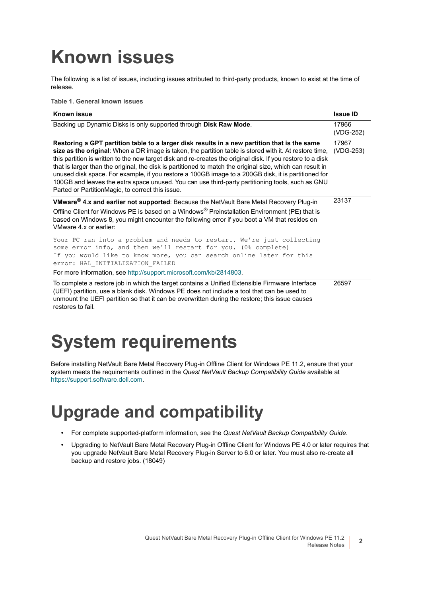# <span id="page-1-1"></span>**Known issues**

The following is a list of issues, including issues attributed to third-party products, known to exist at the time of release.

**Table 1. General known issues**

| <b>Known issue</b>                                                                                                                                                                                                                                                                                                                                                                                                                                                                                                                                                                                                                                                                                 | <b>Issue ID</b>    |
|----------------------------------------------------------------------------------------------------------------------------------------------------------------------------------------------------------------------------------------------------------------------------------------------------------------------------------------------------------------------------------------------------------------------------------------------------------------------------------------------------------------------------------------------------------------------------------------------------------------------------------------------------------------------------------------------------|--------------------|
| Backing up Dynamic Disks is only supported through Disk Raw Mode.                                                                                                                                                                                                                                                                                                                                                                                                                                                                                                                                                                                                                                  | 17966<br>(VDG-252) |
| Restoring a GPT partition table to a larger disk results in a new partition that is the same<br>size as the original: When a DR image is taken, the partition table is stored with it. At restore time,<br>this partition is written to the new target disk and re-creates the original disk. If you restore to a disk<br>that is larger than the original, the disk is partitioned to match the original size, which can result in<br>unused disk space. For example, if you restore a 100GB image to a 200GB disk, it is partitioned for<br>100GB and leaves the extra space unused. You can use third-party partitioning tools, such as GNU<br>Parted or PartitionMagic, to correct this issue. | 17967<br>(VDG-253) |
| VMware <sup>®</sup> 4.x and earlier not supported: Because the NetVault Bare Metal Recovery Plug-in<br>Offline Client for Windows PE is based on a Windows® Preinstallation Environment (PE) that is<br>based on Windows 8, you might encounter the following error if you boot a VM that resides on<br>VMware 4.x or earlier:                                                                                                                                                                                                                                                                                                                                                                     | 23137              |
| Your PC ran into a problem and needs to restart. We're just collecting<br>some error info, and then we'll restart for you. (0% complete)<br>If you would like to know more, you can search online later for this<br>error: HAL INITIALIZATION FAILED                                                                                                                                                                                                                                                                                                                                                                                                                                               |                    |
| For more information, see http://support.microsoft.com/kb/2814803.                                                                                                                                                                                                                                                                                                                                                                                                                                                                                                                                                                                                                                 |                    |
| To complete a restore job in which the target contains a Unified Extensible Firmware Interface<br>(UEFI) partition, use a blank disk. Windows PE does not include a tool that can be used to<br>unmount the UEFI partition so that it can be overwritten during the restore; this issue causes<br>restores to fail.                                                                                                                                                                                                                                                                                                                                                                                | 26597              |

# <span id="page-1-0"></span>**System requirements**

Before installing NetVault Bare Metal Recovery Plug-in Offline Client for Windows PE 11.2, ensure that your system meets the requirements outlined in the *Quest NetVault Backup Compatibility Guide* available at <https://support.software.dell.com>.

### **Upgrade and compatibility**

- **•** For complete supported-platform information, see the *Quest NetVault Backup Compatibility Guide*.
- **•** Upgrading to NetVault Bare Metal Recovery Plug-in Offline Client for Windows PE 4.0 or later requires that you upgrade NetVault Bare Metal Recovery Plug-in Server to 6.0 or later. You must also re-create all backup and restore jobs. (18049)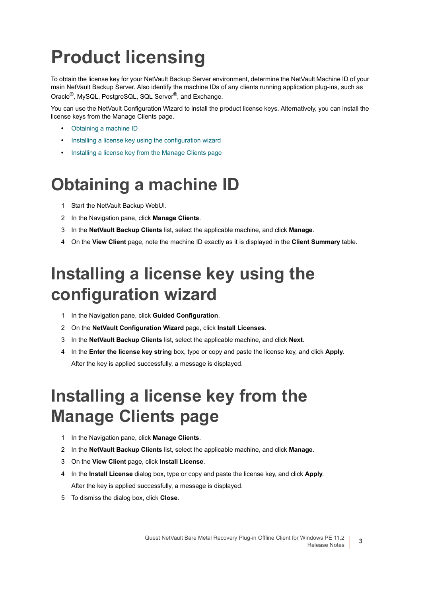# <span id="page-2-0"></span>**Product licensing**

To obtain the license key for your NetVault Backup Server environment, determine the NetVault Machine ID of your main NetVault Backup Server. Also identify the machine IDs of any clients running application plug-ins, such as Oracle®, MySQL, PostgreSQL, SQL Server®, and Exchange.

You can use the NetVault Configuration Wizard to install the product license keys. Alternatively, you can install the license keys from the Manage Clients page.

- **•** [Obtaining a machine ID](#page-2-1)
- **•** [Installing a license key using the configuration wizard](#page-2-2)
- **•** [Installing a license key from the Manage Clients page](#page-2-3)

#### <span id="page-2-1"></span>**Obtaining a machine ID**

- 1 Start the NetVault Backup WebUI.
- 2 In the Navigation pane, click **Manage Clients**.
- 3 In the **NetVault Backup Clients** list, select the applicable machine, and click **Manage**.
- 4 On the **View Client** page, note the machine ID exactly as it is displayed in the **Client Summary** table.

### <span id="page-2-2"></span>**Installing a license key using the configuration wizard**

- 1 In the Navigation pane, click **Guided Configuration**.
- 2 On the **NetVault Configuration Wizard** page, click **Install Licenses**.
- 3 In the **NetVault Backup Clients** list, select the applicable machine, and click **Next**.
- 4 In the **Enter the license key string** box, type or copy and paste the license key, and click **Apply**. After the key is applied successfully, a message is displayed.

## <span id="page-2-3"></span>**Installing a license key from the Manage Clients page**

- 1 In the Navigation pane, click **Manage Clients**.
- 2 In the **NetVault Backup Clients** list, select the applicable machine, and click **Manage**.
- 3 On the **View Client** page, click **Install License**.
- 4 In the **Install License** dialog box, type or copy and paste the license key, and click **Apply**. After the key is applied successfully, a message is displayed.
- 5 To dismiss the dialog box, click **Close**.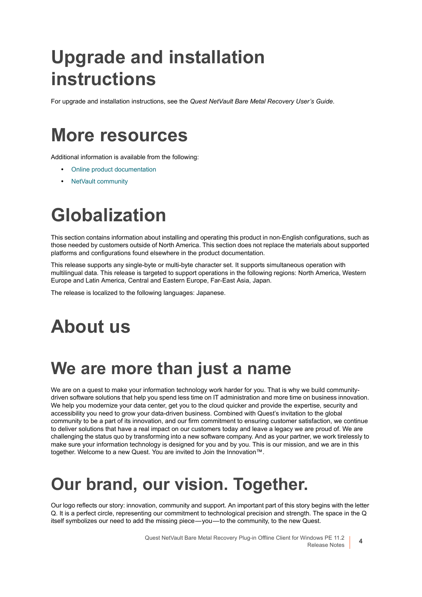# <span id="page-3-0"></span>**Upgrade and installation instructions**

For upgrade and installation instructions, see the *Quest NetVault Bare Metal Recovery User's Guide*.

### <span id="page-3-1"></span>**More resources**

Additional information is available from the following:

- **•** [Online product documentation](https://support.software.dell.com/)
- **•** [NetVault community](https://www.quest.com/community/products/netvault/)

# <span id="page-3-2"></span>**Globalization**

This section contains information about installing and operating this product in non-English configurations, such as those needed by customers outside of North America. This section does not replace the materials about supported platforms and configurations found elsewhere in the product documentation.

This release supports any single-byte or multi-byte character set. It supports simultaneous operation with multilingual data. This release is targeted to support operations in the following regions: North America, Western Europe and Latin America, Central and Eastern Europe, Far-East Asia, Japan.

The release is localized to the following languages: Japanese.

# <span id="page-3-3"></span>**About us**

#### **We are more than just a name**

We are on a quest to make your information technology work harder for you. That is why we build communitydriven software solutions that help you spend less time on IT administration and more time on business innovation. We help you modernize your data center, get you to the cloud quicker and provide the expertise, security and accessibility you need to grow your data-driven business. Combined with Quest's invitation to the global community to be a part of its innovation, and our firm commitment to ensuring customer satisfaction, we continue to deliver solutions that have a real impact on our customers today and leave a legacy we are proud of. We are challenging the status quo by transforming into a new software company. And as your partner, we work tirelessly to make sure your information technology is designed for you and by you. This is our mission, and we are in this together. Welcome to a new Quest. You are invited to Join the Innovation™.

### **Our brand, our vision. Together.**

Our logo reflects our story: innovation, community and support. An important part of this story begins with the letter Q. It is a perfect circle, representing our commitment to technological precision and strength. The space in the Q itself symbolizes our need to add the missing piece — you — to the community, to the new Quest.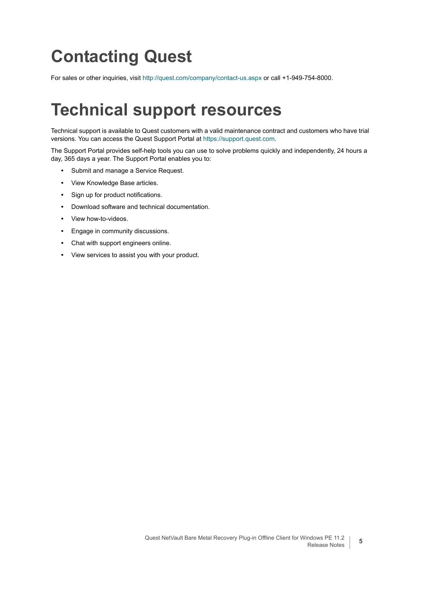## **Contacting Quest**

For sales or other inquiries, visit<http://quest.com/company/contact-us.aspx> or call +1-949-754-8000.

### **Technical support resources**

Technical support is available to Quest customers with a valid maintenance contract and customers who have trial versions. You can access the Quest Support Portal at [https://support.quest.com.](https://support.quest.com)

The Support Portal provides self-help tools you can use to solve problems quickly and independently, 24 hours a day, 365 days a year. The Support Portal enables you to:

- **•** Submit and manage a Service Request.
- **•** View Knowledge Base articles.
- **•** Sign up for product notifications.
- **•** Download software and technical documentation.
- **•** View how-to-videos.
- **•** Engage in community discussions.
- **•** Chat with support engineers online.
- **•** View services to assist you with your product.